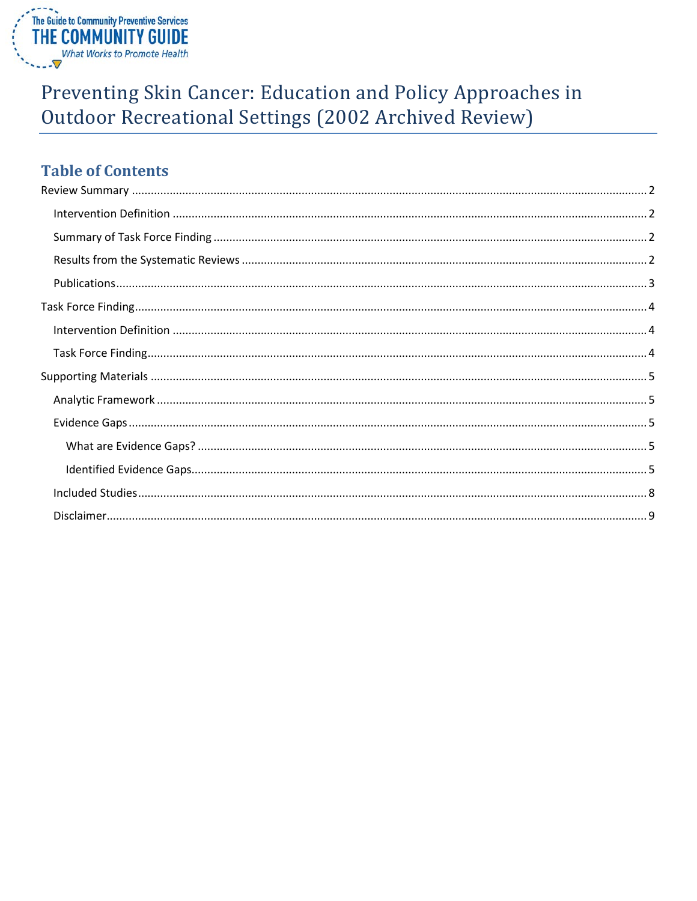

# Preventing Skin Cancer: Education and Policy Approaches in Outdoor Recreational Settings (2002 Archived Review)

# **Table of Contents**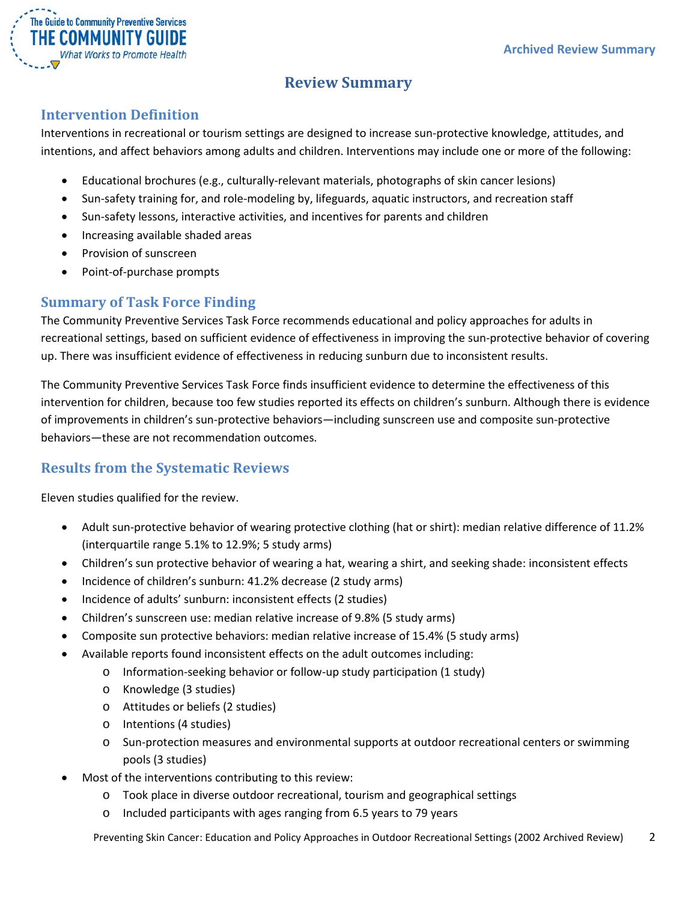

# **Review Summary**

# <span id="page-1-1"></span><span id="page-1-0"></span>**Intervention Definition**

Interventions in recreational or tourism settings are designed to increase sun-protective knowledge, attitudes, and intentions, and affect behaviors among adults and children. Interventions may include one or more of the following:

- Educational brochures (e.g., culturally-relevant materials, photographs of skin cancer lesions)
- Sun-safety training for, and role-modeling by, lifeguards, aquatic instructors, and recreation staff
- Sun-safety lessons, interactive activities, and incentives for parents and children
- Increasing available shaded areas
- Provision of sunscreen
- Point-of-purchase prompts

### <span id="page-1-2"></span>**Summary of Task Force Finding**

The Community Preventive Services Task Force recommends educational and policy approaches for adults in recreational settings, based on sufficient evidence of effectiveness in improving the sun-protective behavior of covering up. There was insufficient evidence of effectiveness in reducing sunburn due to inconsistent results.

The Community Preventive Services Task Force finds insufficient evidence to determine the effectiveness of this intervention for children, because too few studies reported its effects on children's sunburn. Although there is evidence of improvements in children's sun-protective behaviors—including sunscreen use and composite sun-protective behaviors—these are not recommendation outcomes.

# <span id="page-1-3"></span>**Results from the Systematic Reviews**

Eleven studies qualified for the review.

- Adult sun-protective behavior of wearing protective clothing (hat or shirt): median relative difference of 11.2% (interquartile range 5.1% to 12.9%; 5 study arms)
- Children's sun protective behavior of wearing a hat, wearing a shirt, and seeking shade: inconsistent effects
- Incidence of children's sunburn: 41.2% decrease (2 study arms)
- Incidence of adults' sunburn: inconsistent effects (2 studies)
- Children's sunscreen use: median relative increase of 9.8% (5 study arms)
- Composite sun protective behaviors: median relative increase of 15.4% (5 study arms)
- Available reports found inconsistent effects on the adult outcomes including:
	- o Information-seeking behavior or follow-up study participation (1 study)
	- o Knowledge (3 studies)
	- o Attitudes or beliefs (2 studies)
	- o Intentions (4 studies)
	- o Sun-protection measures and environmental supports at outdoor recreational centers or swimming pools (3 studies)
- Most of the interventions contributing to this review:
	- o Took place in diverse outdoor recreational, tourism and geographical settings
	- o Included participants with ages ranging from 6.5 years to 79 years

Preventing Skin Cancer: Education and Policy Approaches in Outdoor Recreational Settings (2002 Archived Review) 2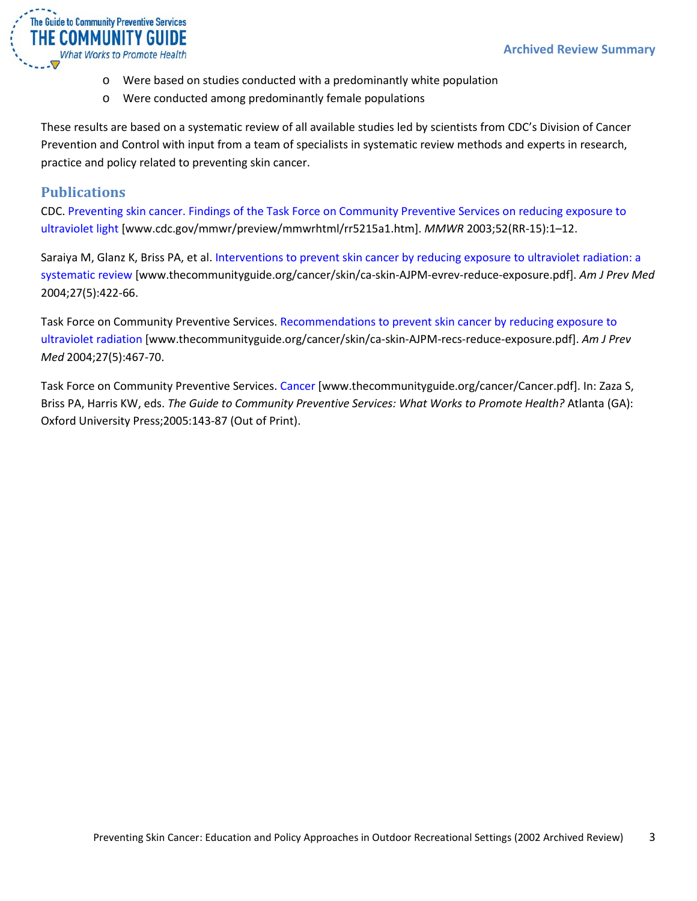

- o Were based on studies conducted with a predominantly white population
- o Were conducted among predominantly female populations

These results are based on a systematic review of all available studies led by scientists from CDC's Division of Cancer Prevention and Control with input from a team of specialists in systematic review methods and experts in research, practice and policy related to preventing skin cancer.

# <span id="page-2-0"></span>**Publications**

CDC. [Preventing skin cancer. Findings of the Task Force on Community Preventive Services on reducing exposure to](http://www.cdc.gov/mmwr/preview/mmwrhtml/rr5215a1.htm)  [ultraviolet light](http://www.cdc.gov/mmwr/preview/mmwrhtml/rr5215a1.htm) [www.cdc.gov/mmwr/preview/mmwrhtml/rr5215a1.htm]. *MMWR* 2003;52(RR-15):1–12.

Saraiya M, Glanz K, Briss PA, et al. [Interventions to prevent skin cancer by reducing exposure to ultraviolet radiation: a](http://www.thecommunityguide.org/cancer/skin/ca-skin-AJPM-evrev-reduce-exposure.pdf)  [systematic review](http://www.thecommunityguide.org/cancer/skin/ca-skin-AJPM-evrev-reduce-exposure.pdf) [www.thecommunityguide.org/cancer/skin/ca-skin-AJPM-evrev-reduce-exposure.pdf]. *Am J Prev Med* 2004;27(5):422-66.

Task Force on Community Preventive Services. [Recommendations to prevent skin cancer by reducing exposure to](http://www.thecommunityguide.org/cancer/skin/ca-skin-AJPM-recs-reduce-exposure.pdf)  [ultraviolet radiation](http://www.thecommunityguide.org/cancer/skin/ca-skin-AJPM-recs-reduce-exposure.pdf) [www.thecommunityguide.org/cancer/skin/ca-skin-AJPM-recs-reduce-exposure.pdf]. *Am J Prev Med* 2004;27(5):467-70.

Task Force on Community Preventive Services. [Cancer](http://www.thecommunityguide.org/cancer/Cancer.pdf) [www.thecommunityguide.org/cancer/Cancer.pdf]. In: Zaza S, Briss PA, Harris KW, eds. *The Guide to Community Preventive Services: What Works to Promote Health?* Atlanta (GA): Oxford University Press;2005:143-87 (Out of Print).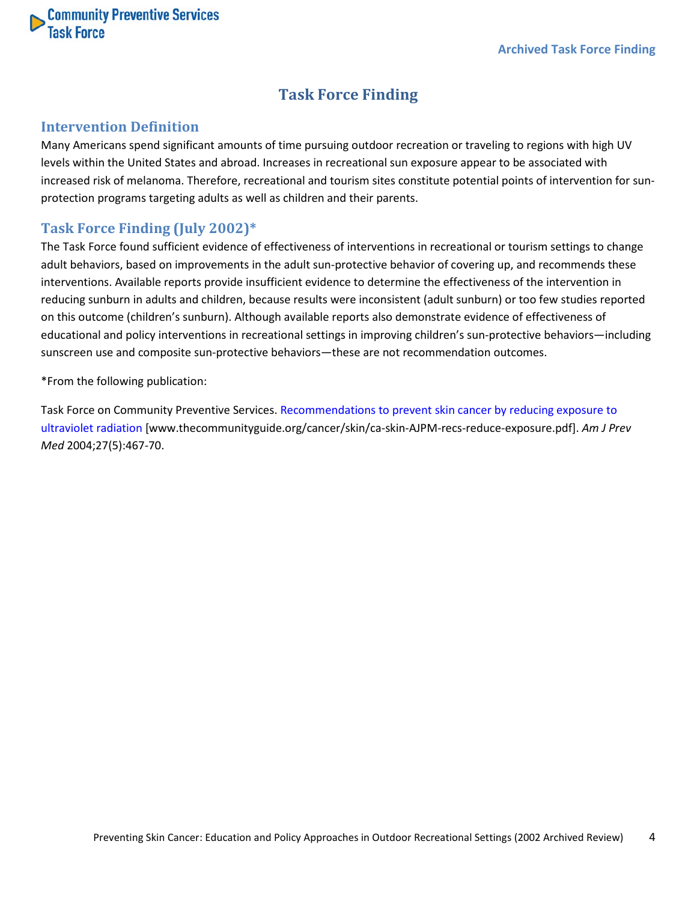<span id="page-3-0"></span>

# **Task Force Finding**

### <span id="page-3-1"></span>**Intervention Definition**

Many Americans spend significant amounts of time pursuing outdoor recreation or traveling to regions with high UV levels within the United States and abroad. Increases in recreational sun exposure appear to be associated with increased risk of melanoma. Therefore, recreational and tourism sites constitute potential points of intervention for sunprotection programs targeting adults as well as children and their parents.

# <span id="page-3-2"></span>**Task Force Finding (July 2002)\***

The Task Force found sufficient evidence of effectiveness of interventions in recreational or tourism settings to change adult behaviors, based on improvements in the adult sun-protective behavior of covering up, and recommends these interventions. Available reports provide insufficient evidence to determine the effectiveness of the intervention in reducing sunburn in adults and children, because results were inconsistent (adult sunburn) or too few studies reported on this outcome (children's sunburn). Although available reports also demonstrate evidence of effectiveness of educational and policy interventions in recreational settings in improving children's sun-protective behaviors—including sunscreen use and composite sun-protective behaviors—these are not recommendation outcomes.

\*From the following publication:

Task Force on Community Preventive Services. [Recommendations to prevent skin cancer by reducing exposure to](http://www.thecommunityguide.org/cancer/skin/ca-skin-AJPM-recs-reduce-exposure.pdf)  [ultraviolet radiation](http://www.thecommunityguide.org/cancer/skin/ca-skin-AJPM-recs-reduce-exposure.pdf) [www.thecommunityguide.org/cancer/skin/ca-skin-AJPM-recs-reduce-exposure.pdf]. *Am J Prev Med* 2004;27(5):467-70.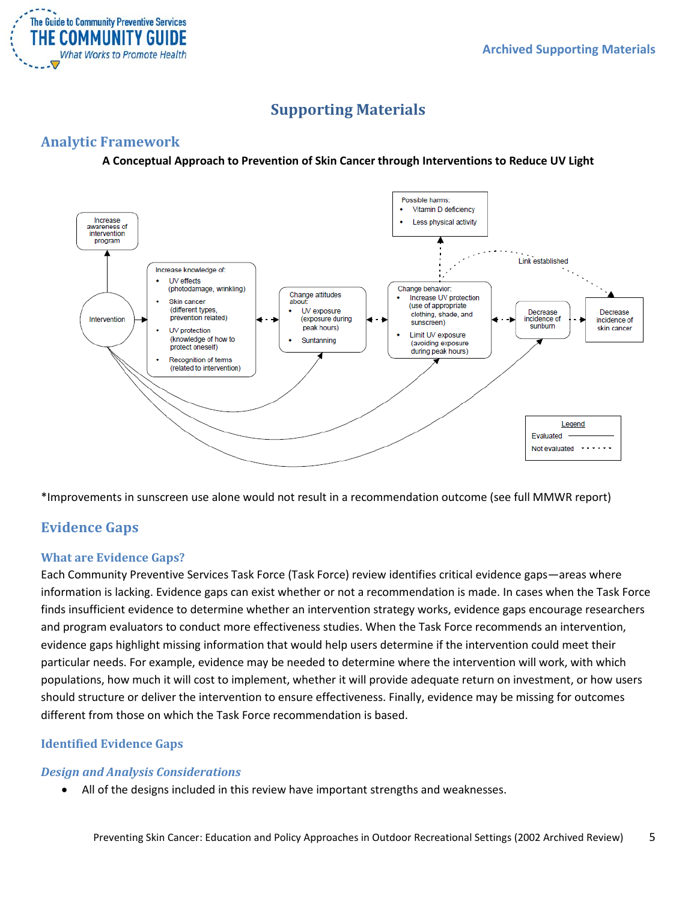

# **Supporting Materials**

# <span id="page-4-1"></span><span id="page-4-0"></span>**Analytic Framework**

#### **A Conceptual Approach to Prevention of Skin Cancer through Interventions to Reduce UV Light**



\*Improvements in sunscreen use alone would not result in a recommendation outcome (see full MMWR report)

# <span id="page-4-2"></span>**Evidence Gaps**

#### <span id="page-4-3"></span>**What are Evidence Gaps?**

Each Community Preventive Services Task Force (Task Force) review identifies critical evidence gaps—areas where information is lacking. Evidence gaps can exist whether or not a recommendation is made. In cases when the Task Force finds insufficient evidence to determine whether an intervention strategy works, evidence gaps encourage researchers and program evaluators to conduct more effectiveness studies. When the Task Force recommends an intervention, evidence gaps highlight missing information that would help users determine if the intervention could meet their particular needs. For example, evidence may be needed to determine where the intervention will work, with which populations, how much it will cost to implement, whether it will provide adequate return on investment, or how users should structure or deliver the intervention to ensure effectiveness. Finally, evidence may be missing for outcomes different from those on which the Task Force recommendation is based.

### <span id="page-4-4"></span>**Identified Evidence Gaps**

#### *Design and Analysis Considerations*

• All of the designs included in this review have important strengths and weaknesses.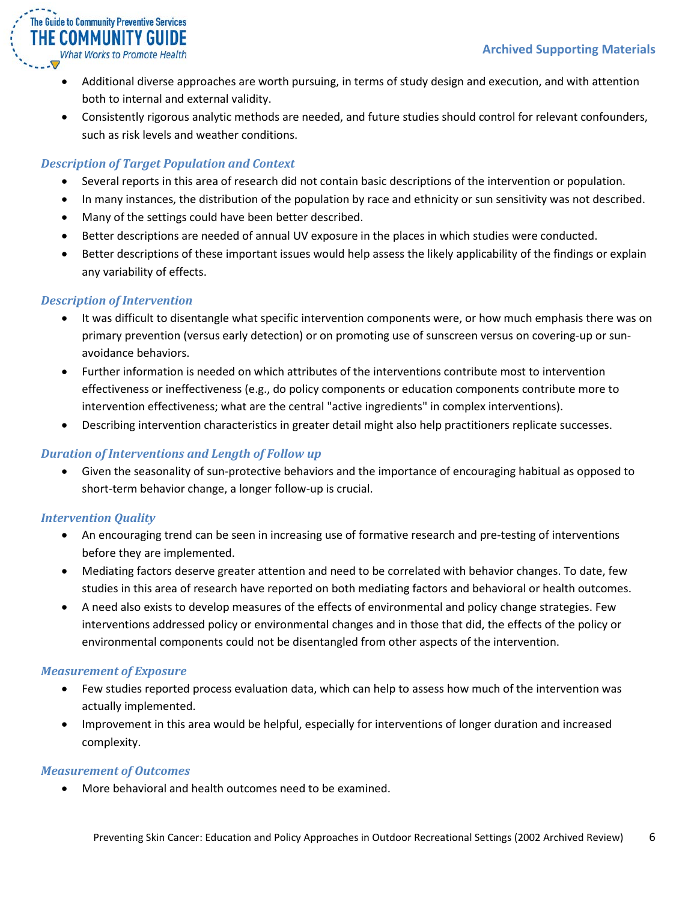

- Additional diverse approaches are worth pursuing, in terms of study design and execution, and with attention both to internal and external validity.
- Consistently rigorous analytic methods are needed, and future studies should control for relevant confounders, such as risk levels and weather conditions.

# *Description of Target Population and Context*

- Several reports in this area of research did not contain basic descriptions of the intervention or population.
- In many instances, the distribution of the population by race and ethnicity or sun sensitivity was not described.
- Many of the settings could have been better described.
- Better descriptions are needed of annual UV exposure in the places in which studies were conducted.
- Better descriptions of these important issues would help assess the likely applicability of the findings or explain any variability of effects.

#### *Description of Intervention*

- It was difficult to disentangle what specific intervention components were, or how much emphasis there was on primary prevention (versus early detection) or on promoting use of sunscreen versus on covering-up or sunavoidance behaviors.
- Further information is needed on which attributes of the interventions contribute most to intervention effectiveness or ineffectiveness (e.g., do policy components or education components contribute more to intervention effectiveness; what are the central "active ingredients" in complex interventions).
- Describing intervention characteristics in greater detail might also help practitioners replicate successes.

### *Duration of Interventions and Length of Follow up*

• Given the seasonality of sun-protective behaviors and the importance of encouraging habitual as opposed to short-term behavior change, a longer follow-up is crucial.

#### *Intervention Quality*

- An encouraging trend can be seen in increasing use of formative research and pre-testing of interventions before they are implemented.
- Mediating factors deserve greater attention and need to be correlated with behavior changes. To date, few studies in this area of research have reported on both mediating factors and behavioral or health outcomes.
- A need also exists to develop measures of the effects of environmental and policy change strategies. Few interventions addressed policy or environmental changes and in those that did, the effects of the policy or environmental components could not be disentangled from other aspects of the intervention.

#### *Measurement of Exposure*

- Few studies reported process evaluation data, which can help to assess how much of the intervention was actually implemented.
- Improvement in this area would be helpful, especially for interventions of longer duration and increased complexity.

#### *Measurement of Outcomes*

• More behavioral and health outcomes need to be examined.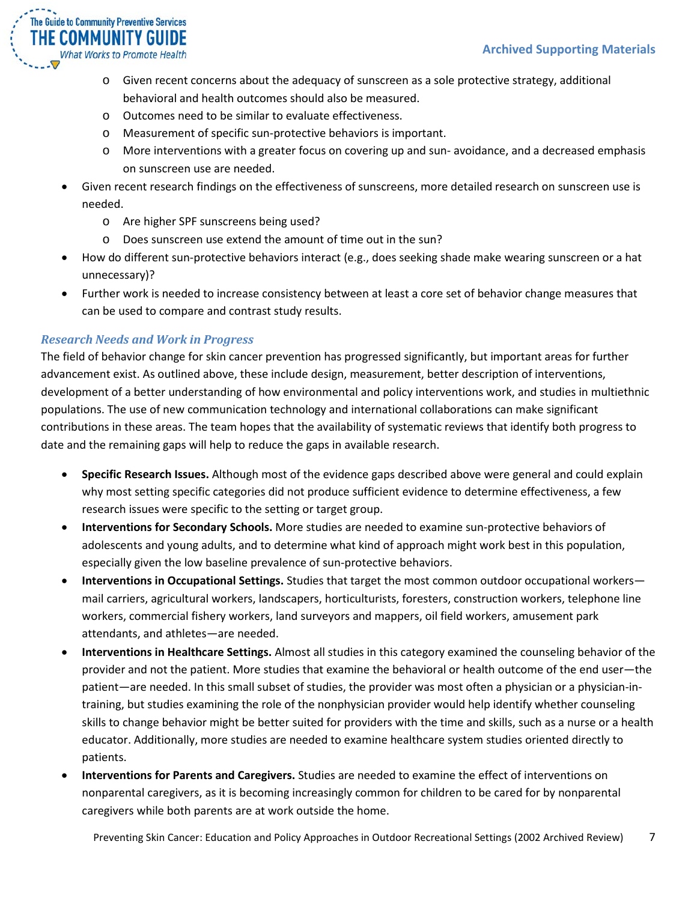

- o Given recent concerns about the adequacy of sunscreen as a sole protective strategy, additional behavioral and health outcomes should also be measured.
- o Outcomes need to be similar to evaluate effectiveness.
- o Measurement of specific sun-protective behaviors is important.
- o More interventions with a greater focus on covering up and sun- avoidance, and a decreased emphasis on sunscreen use are needed.
- Given recent research findings on the effectiveness of sunscreens, more detailed research on sunscreen use is needed.
	- o Are higher SPF sunscreens being used?
	- o Does sunscreen use extend the amount of time out in the sun?
- How do different sun-protective behaviors interact (e.g., does seeking shade make wearing sunscreen or a hat unnecessary)?
- Further work is needed to increase consistency between at least a core set of behavior change measures that can be used to compare and contrast study results.

#### *Research Needs and Work in Progress*

The field of behavior change for skin cancer prevention has progressed significantly, but important areas for further advancement exist. As outlined above, these include design, measurement, better description of interventions, development of a better understanding of how environmental and policy interventions work, and studies in multiethnic populations. The use of new communication technology and international collaborations can make significant contributions in these areas. The team hopes that the availability of systematic reviews that identify both progress to date and the remaining gaps will help to reduce the gaps in available research.

- **Specific Research Issues.** Although most of the evidence gaps described above were general and could explain why most setting specific categories did not produce sufficient evidence to determine effectiveness, a few research issues were specific to the setting or target group.
- **Interventions for Secondary Schools.** More studies are needed to examine sun-protective behaviors of adolescents and young adults, and to determine what kind of approach might work best in this population, especially given the low baseline prevalence of sun-protective behaviors.
- **Interventions in Occupational Settings.** Studies that target the most common outdoor occupational workers mail carriers, agricultural workers, landscapers, horticulturists, foresters, construction workers, telephone line workers, commercial fishery workers, land surveyors and mappers, oil field workers, amusement park attendants, and athletes—are needed.
- **Interventions in Healthcare Settings.** Almost all studies in this category examined the counseling behavior of the provider and not the patient. More studies that examine the behavioral or health outcome of the end user—the patient—are needed. In this small subset of studies, the provider was most often a physician or a physician-intraining, but studies examining the role of the nonphysician provider would help identify whether counseling skills to change behavior might be better suited for providers with the time and skills, such as a nurse or a health educator. Additionally, more studies are needed to examine healthcare system studies oriented directly to patients.
- **Interventions for Parents and Caregivers.** Studies are needed to examine the effect of interventions on nonparental caregivers, as it is becoming increasingly common for children to be cared for by nonparental caregivers while both parents are at work outside the home.

Preventing Skin Cancer: Education and Policy Approaches in Outdoor Recreational Settings (2002 Archived Review) 7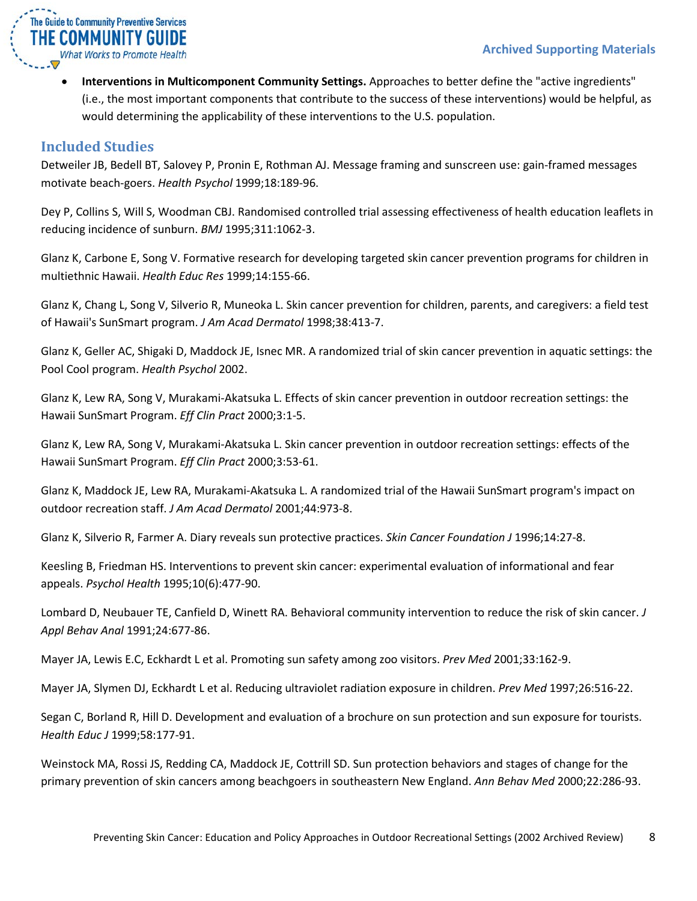

• **Interventions in Multicomponent Community Settings.** Approaches to better define the "active ingredients" (i.e., the most important components that contribute to the success of these interventions) would be helpful, as would determining the applicability of these interventions to the U.S. population.

# <span id="page-7-0"></span>**Included Studies**

Detweiler JB, Bedell BT, Salovey P, Pronin E, Rothman AJ. Message framing and sunscreen use: gain-framed messages motivate beach-goers. *Health Psychol* 1999;18:189-96.

Dey P, Collins S, Will S, Woodman CBJ. Randomised controlled trial assessing effectiveness of health education leaflets in reducing incidence of sunburn. *BMJ* 1995;311:1062-3.

Glanz K, Carbone E, Song V. Formative research for developing targeted skin cancer prevention programs for children in multiethnic Hawaii. *Health Educ Res* 1999;14:155-66.

Glanz K, Chang L, Song V, Silverio R, Muneoka L. Skin cancer prevention for children, parents, and caregivers: a field test of Hawaii's SunSmart program. *J Am Acad Dermatol* 1998;38:413-7.

Glanz K, Geller AC, Shigaki D, Maddock JE, Isnec MR. A randomized trial of skin cancer prevention in aquatic settings: the Pool Cool program. *Health Psychol* 2002.

Glanz K, Lew RA, Song V, Murakami-Akatsuka L. Effects of skin cancer prevention in outdoor recreation settings: the Hawaii SunSmart Program. *Eff Clin Pract* 2000;3:1-5.

Glanz K, Lew RA, Song V, Murakami-Akatsuka L. Skin cancer prevention in outdoor recreation settings: effects of the Hawaii SunSmart Program. *Eff Clin Pract* 2000;3:53-61.

Glanz K, Maddock JE, Lew RA, Murakami-Akatsuka L. A randomized trial of the Hawaii SunSmart program's impact on outdoor recreation staff. *J Am Acad Dermatol* 2001;44:973-8.

Glanz K, Silverio R, Farmer A. Diary reveals sun protective practices. *Skin Cancer Foundation J* 1996;14:27-8.

Keesling B, Friedman HS. Interventions to prevent skin cancer: experimental evaluation of informational and fear appeals. *Psychol Health* 1995;10(6):477-90.

Lombard D, Neubauer TE, Canfield D, Winett RA. Behavioral community intervention to reduce the risk of skin cancer. *J Appl Behav Anal* 1991;24:677-86.

Mayer JA, Lewis E.C, Eckhardt L et al. Promoting sun safety among zoo visitors. *Prev Med* 2001;33:162-9.

Mayer JA, Slymen DJ, Eckhardt L et al. Reducing ultraviolet radiation exposure in children. *Prev Med* 1997;26:516-22.

Segan C, Borland R, Hill D. Development and evaluation of a brochure on sun protection and sun exposure for tourists. *Health Educ J* 1999;58:177-91.

Weinstock MA, Rossi JS, Redding CA, Maddock JE, Cottrill SD. Sun protection behaviors and stages of change for the primary prevention of skin cancers among beachgoers in southeastern New England. *Ann Behav Med* 2000;22:286-93.